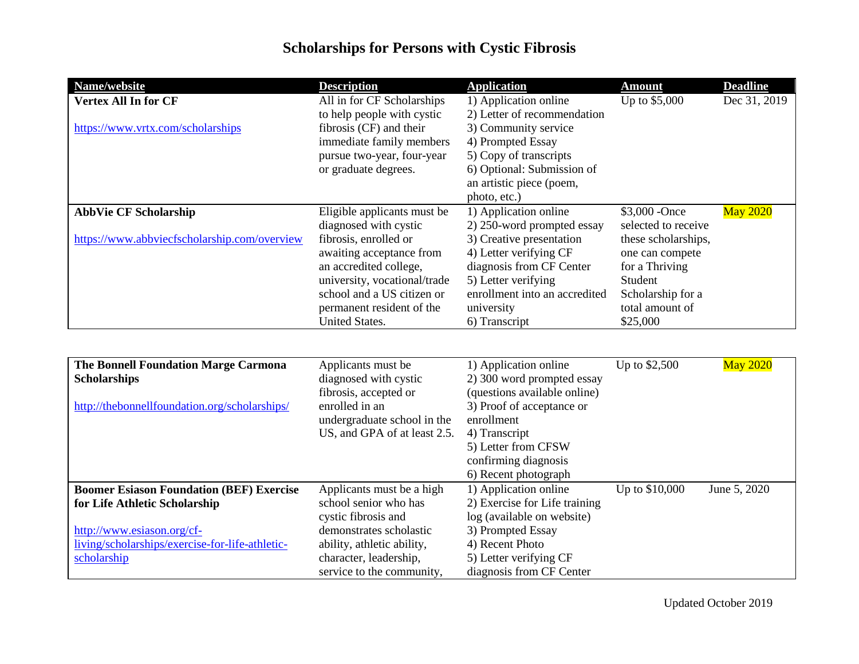| Name/website                                 | <b>Description</b>                                                                                        | <b>Application</b>                                                                                                                            | <b>Amount</b>                                            | <b>Deadline</b> |
|----------------------------------------------|-----------------------------------------------------------------------------------------------------------|-----------------------------------------------------------------------------------------------------------------------------------------------|----------------------------------------------------------|-----------------|
| <b>Vertex All In for CF</b>                  | All in for CF Scholarships<br>to help people with cystic                                                  | 1) Application online<br>2) Letter of recommendation                                                                                          | Up to \$5,000                                            | Dec 31, 2019    |
| https://www.vrtx.com/scholarships            | fibrosis (CF) and their<br>immediate family members<br>pursue two-year, four-year<br>or graduate degrees. | 3) Community service<br>4) Prompted Essay<br>5) Copy of transcripts<br>6) Optional: Submission of<br>an artistic piece (poem,<br>photo, etc.) |                                                          |                 |
| <b>AbbVie CF Scholarship</b>                 | Eligible applicants must be                                                                               | 1) Application online                                                                                                                         | \$3,000 - Once                                           | <b>May 2020</b> |
|                                              | diagnosed with cystic                                                                                     | 2) 250-word prompted essay                                                                                                                    | selected to receive                                      |                 |
| https://www.abbviecfscholarship.com/overview | fibrosis, enrolled or<br>awaiting acceptance from<br>an accredited college,                               | 3) Creative presentation<br>4) Letter verifying CF<br>diagnosis from CF Center                                                                | these scholarships,<br>one can compete<br>for a Thriving |                 |
|                                              | university, vocational/trade                                                                              | 5) Letter verifying                                                                                                                           | Student                                                  |                 |
|                                              | school and a US citizen or<br>permanent resident of the                                                   | enrollment into an accredited<br>university                                                                                                   | Scholarship for a<br>total amount of                     |                 |
|                                              | <b>United States.</b>                                                                                     | 6) Transcript                                                                                                                                 | \$25,000                                                 |                 |

| <b>The Bonnell Foundation Marge Carmona</b><br><b>Scholarships</b> | Applicants must be<br>diagnosed with cystic                                                            | 1) Application online<br>2) 300 word prompted essay                                                                                                             | Up to \$2,500  | <b>May 2020</b> |
|--------------------------------------------------------------------|--------------------------------------------------------------------------------------------------------|-----------------------------------------------------------------------------------------------------------------------------------------------------------------|----------------|-----------------|
| http://thebonnellfoundation.org/scholarships/                      | fibrosis, accepted or<br>enrolled in an<br>undergraduate school in the<br>US, and GPA of at least 2.5. | (questions available online)<br>3) Proof of acceptance or<br>enrollment<br>4) Transcript<br>5) Letter from CFSW<br>confirming diagnosis<br>6) Recent photograph |                |                 |
| <b>Boomer Esiason Foundation (BEF) Exercise</b>                    | Applicants must be a high                                                                              | 1) Application online                                                                                                                                           | Up to \$10,000 | June 5, 2020    |
| for Life Athletic Scholarship                                      | school senior who has                                                                                  | 2) Exercise for Life training                                                                                                                                   |                |                 |
|                                                                    | cystic fibrosis and                                                                                    | log (available on website)                                                                                                                                      |                |                 |
| http://www.esiason.org/cf-                                         | demonstrates scholastic                                                                                | 3) Prompted Essay                                                                                                                                               |                |                 |
| living/scholarships/exercise-for-life-athletic-                    | ability, athletic ability,                                                                             | 4) Recent Photo                                                                                                                                                 |                |                 |
| scholarship                                                        | character, leadership,                                                                                 | 5) Letter verifying CF                                                                                                                                          |                |                 |
|                                                                    | service to the community,                                                                              | diagnosis from CF Center                                                                                                                                        |                |                 |

Updated October 2019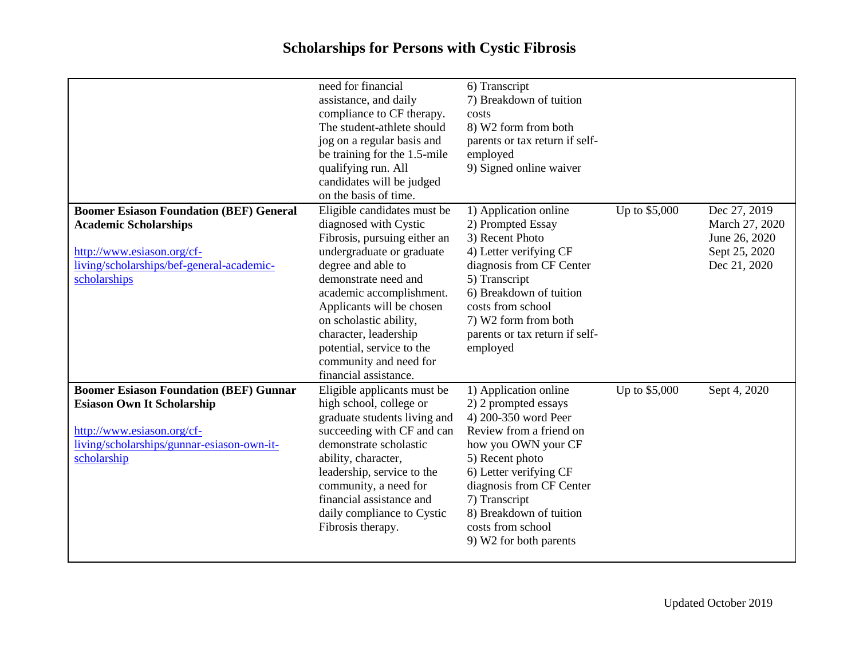|                                                                                                                                                                               | need for financial<br>assistance, and daily<br>compliance to CF therapy.<br>The student-athlete should<br>jog on a regular basis and<br>be training for the 1.5-mile<br>qualifying run. All<br>candidates will be judged<br>on the basis of time.                                                                                                           | 6) Transcript<br>7) Breakdown of tuition<br>costs<br>8) W2 form from both<br>parents or tax return if self-<br>employed<br>9) Signed online waiver                                                                                                                                          |               |                                                                                  |
|-------------------------------------------------------------------------------------------------------------------------------------------------------------------------------|-------------------------------------------------------------------------------------------------------------------------------------------------------------------------------------------------------------------------------------------------------------------------------------------------------------------------------------------------------------|---------------------------------------------------------------------------------------------------------------------------------------------------------------------------------------------------------------------------------------------------------------------------------------------|---------------|----------------------------------------------------------------------------------|
| <b>Boomer Esiason Foundation (BEF) General</b><br><b>Academic Scholarships</b><br>http://www.esiason.org/cf-<br>living/scholarships/bef-general-academic-<br>scholarships     | Eligible candidates must be<br>diagnosed with Cystic<br>Fibrosis, pursuing either an<br>undergraduate or graduate<br>degree and able to<br>demonstrate need and<br>academic accomplishment.<br>Applicants will be chosen<br>on scholastic ability,<br>character, leadership<br>potential, service to the<br>community and need for<br>financial assistance. | 1) Application online<br>2) Prompted Essay<br>3) Recent Photo<br>4) Letter verifying CF<br>diagnosis from CF Center<br>5) Transcript<br>6) Breakdown of tuition<br>costs from school<br>7) W2 form from both<br>parents or tax return if self-<br>employed                                  | Up to \$5,000 | Dec 27, 2019<br>March 27, 2020<br>June 26, 2020<br>Sept 25, 2020<br>Dec 21, 2020 |
| <b>Boomer Esiason Foundation (BEF) Gunnar</b><br><b>Esiason Own It Scholarship</b><br>http://www.esiason.org/cf-<br>living/scholarships/gunnar-esiason-own-it-<br>scholarship | Eligible applicants must be<br>high school, college or<br>graduate students living and<br>succeeding with CF and can<br>demonstrate scholastic<br>ability, character,<br>leadership, service to the<br>community, a need for<br>financial assistance and<br>daily compliance to Cystic<br>Fibrosis therapy.                                                 | 1) Application online<br>2) 2 prompted essays<br>4) 200-350 word Peer<br>Review from a friend on<br>how you OWN your CF<br>5) Recent photo<br>6) Letter verifying CF<br>diagnosis from CF Center<br>7) Transcript<br>8) Breakdown of tuition<br>costs from school<br>9) W2 for both parents | Up to \$5,000 | Sept 4, 2020                                                                     |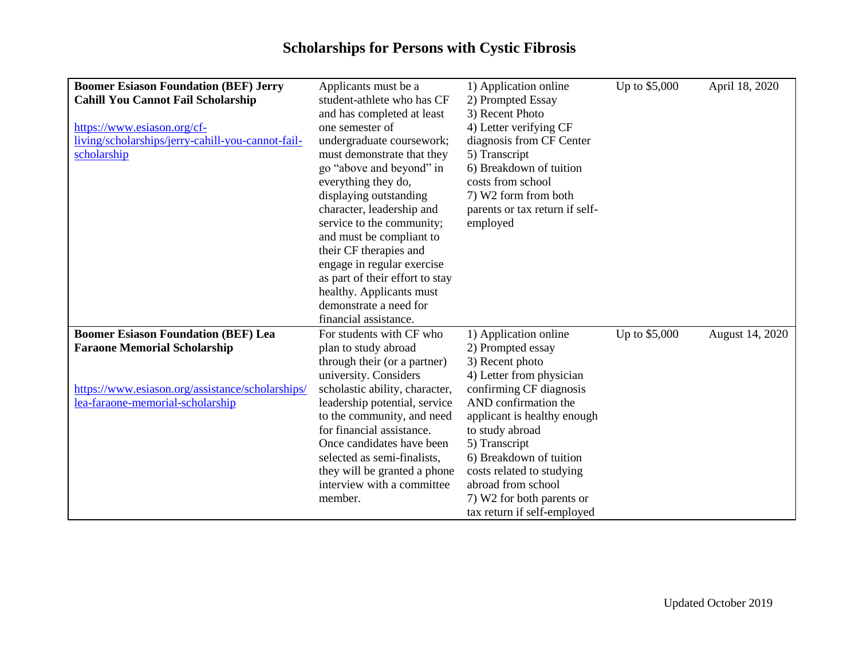| <b>Boomer Esiason Foundation (BEF) Jerry</b>      | Applicants must be a            | 1) Application online          | Up to \$5,000 | April 18, 2020  |
|---------------------------------------------------|---------------------------------|--------------------------------|---------------|-----------------|
| <b>Cahill You Cannot Fail Scholarship</b>         | student-athlete who has CF      | 2) Prompted Essay              |               |                 |
|                                                   | and has completed at least      | 3) Recent Photo                |               |                 |
| https://www.esiason.org/cf-                       | one semester of                 | 4) Letter verifying CF         |               |                 |
| living/scholarships/jerry-cahill-you-cannot-fail- | undergraduate coursework;       | diagnosis from CF Center       |               |                 |
| scholarship                                       | must demonstrate that they      | 5) Transcript                  |               |                 |
|                                                   | go "above and beyond" in        | 6) Breakdown of tuition        |               |                 |
|                                                   | everything they do,             | costs from school              |               |                 |
|                                                   | displaying outstanding          | 7) W2 form from both           |               |                 |
|                                                   | character, leadership and       | parents or tax return if self- |               |                 |
|                                                   | service to the community;       | employed                       |               |                 |
|                                                   | and must be compliant to        |                                |               |                 |
|                                                   | their CF therapies and          |                                |               |                 |
|                                                   | engage in regular exercise      |                                |               |                 |
|                                                   | as part of their effort to stay |                                |               |                 |
|                                                   | healthy. Applicants must        |                                |               |                 |
|                                                   | demonstrate a need for          |                                |               |                 |
|                                                   | financial assistance.           |                                |               |                 |
| <b>Boomer Esiason Foundation (BEF) Lea</b>        | For students with CF who        | 1) Application online          | Up to \$5,000 | August 14, 2020 |
| <b>Faraone Memorial Scholarship</b>               | plan to study abroad            | 2) Prompted essay              |               |                 |
|                                                   | through their (or a partner)    | 3) Recent photo                |               |                 |
|                                                   | university. Considers           | 4) Letter from physician       |               |                 |
| https://www.esiason.org/assistance/scholarships/  | scholastic ability, character,  | confirming CF diagnosis        |               |                 |
| lea-faraone-memorial-scholarship                  | leadership potential, service   | AND confirmation the           |               |                 |
|                                                   | to the community, and need      | applicant is healthy enough    |               |                 |
|                                                   | for financial assistance.       | to study abroad                |               |                 |
|                                                   | Once candidates have been       | 5) Transcript                  |               |                 |
|                                                   | selected as semi-finalists,     | 6) Breakdown of tuition        |               |                 |
|                                                   | they will be granted a phone    | costs related to studying      |               |                 |
|                                                   | interview with a committee      | abroad from school             |               |                 |
|                                                   | member.                         | 7) W2 for both parents or      |               |                 |
|                                                   |                                 | tax return if self-employed    |               |                 |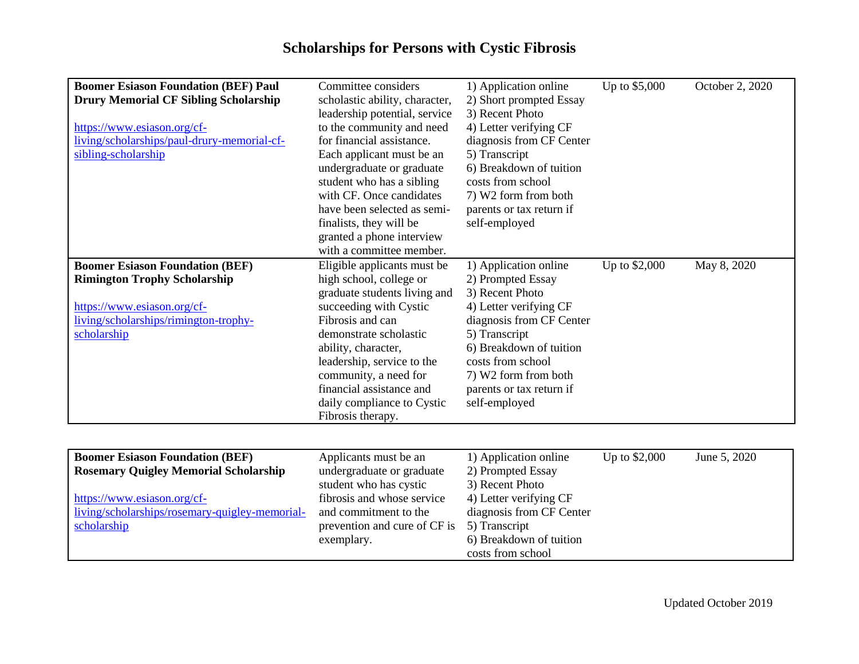| <b>Boomer Esiason Foundation (BEF) Paul</b>  | Committee considers            | 1) Application online    | Up to \$5,000 | October 2, 2020 |
|----------------------------------------------|--------------------------------|--------------------------|---------------|-----------------|
| <b>Drury Memorial CF Sibling Scholarship</b> | scholastic ability, character, | 2) Short prompted Essay  |               |                 |
|                                              | leadership potential, service  | 3) Recent Photo          |               |                 |
| https://www.esiason.org/cf-                  | to the community and need      | 4) Letter verifying CF   |               |                 |
| living/scholarships/paul-drury-memorial-cf-  | for financial assistance.      | diagnosis from CF Center |               |                 |
| sibling-scholarship                          | Each applicant must be an      | 5) Transcript            |               |                 |
|                                              | undergraduate or graduate      | 6) Breakdown of tuition  |               |                 |
|                                              | student who has a sibling      | costs from school        |               |                 |
|                                              | with CF. Once candidates       | 7) W2 form from both     |               |                 |
|                                              | have been selected as semi-    | parents or tax return if |               |                 |
|                                              | finalists, they will be        | self-employed            |               |                 |
|                                              | granted a phone interview      |                          |               |                 |
|                                              | with a committee member.       |                          |               |                 |
| <b>Boomer Esiason Foundation (BEF)</b>       | Eligible applicants must be    | 1) Application online    | Up to \$2,000 | May 8, 2020     |
| <b>Rimington Trophy Scholarship</b>          | high school, college or        | 2) Prompted Essay        |               |                 |
|                                              | graduate students living and   | 3) Recent Photo          |               |                 |
| https://www.esiason.org/cf-                  | succeeding with Cystic         | 4) Letter verifying CF   |               |                 |
| living/scholarships/rimington-trophy-        | Fibrosis and can               | diagnosis from CF Center |               |                 |
| scholarship                                  | demonstrate scholastic         | 5) Transcript            |               |                 |
|                                              | ability, character,            | 6) Breakdown of tuition  |               |                 |
|                                              | leadership, service to the     | costs from school        |               |                 |
|                                              | community, a need for          | 7) W2 form from both     |               |                 |
|                                              | financial assistance and       | parents or tax return if |               |                 |
|                                              | daily compliance to Cystic     | self-employed            |               |                 |
|                                              | Fibrosis therapy.              |                          |               |                 |

| <b>Boomer Esiason Foundation (BEF)</b><br><b>Rosemary Quigley Memorial Scholarship</b> | Applicants must be an<br>undergraduate or graduate  | 1) Application online<br>2) Prompted Essay         | Up to $$2,000$ | June 5, 2020 |
|----------------------------------------------------------------------------------------|-----------------------------------------------------|----------------------------------------------------|----------------|--------------|
|                                                                                        | student who has cystic                              | 3) Recent Photo                                    |                |              |
| https://www.esiason.org/cf-<br>living/scholarships/rosemary-quigley-memorial-          | fibrosis and whose service<br>and commitment to the | 4) Letter verifying CF<br>diagnosis from CF Center |                |              |
| scholarship                                                                            | prevention and cure of CF is                        | 5) Transcript                                      |                |              |
|                                                                                        | exemplary.                                          | 6) Breakdown of tuition<br>costs from school       |                |              |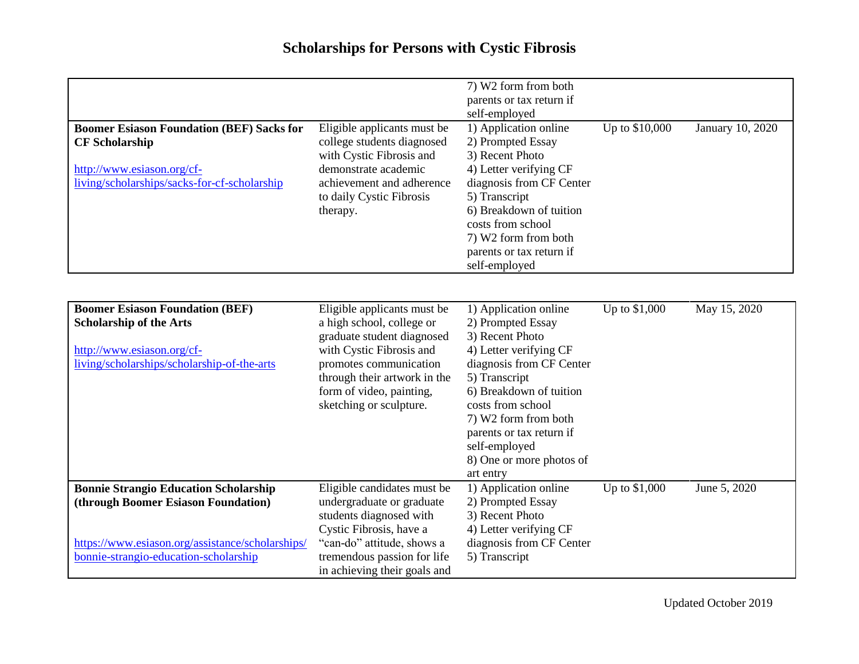| <b>Boomer Esiason Foundation (BEF) Sacks for</b><br><b>CF Scholarship</b><br>http://www.esiason.org/cf-<br>living/scholarships/sacks-for-cf-scholarship                          | Eligible applicants must be<br>college students diagnosed<br>with Cystic Fibrosis and<br>demonstrate academic<br>achievement and adherence<br>to daily Cystic Fibrosis<br>therapy.                                                  | 7) W2 form from both<br>parents or tax return if<br>self-employed<br>1) Application online<br>2) Prompted Essay<br>3) Recent Photo<br>4) Letter verifying CF<br>diagnosis from CF Center<br>5) Transcript<br>6) Breakdown of tuition<br>costs from school<br>7) W2 form from both<br>parents or tax return if<br>self-employed | Up to \$10,000 | January 10, 2020 |
|----------------------------------------------------------------------------------------------------------------------------------------------------------------------------------|-------------------------------------------------------------------------------------------------------------------------------------------------------------------------------------------------------------------------------------|--------------------------------------------------------------------------------------------------------------------------------------------------------------------------------------------------------------------------------------------------------------------------------------------------------------------------------|----------------|------------------|
| <b>Boomer Esiason Foundation (BEF)</b><br><b>Scholarship of the Arts</b><br>http://www.esiason.org/cf-<br>living/scholarships/scholarship-of-the-arts                            | Eligible applicants must be<br>a high school, college or<br>graduate student diagnosed<br>with Cystic Fibrosis and<br>promotes communication<br>through their artwork in the<br>form of video, painting,<br>sketching or sculpture. | 1) Application online<br>2) Prompted Essay<br>3) Recent Photo<br>4) Letter verifying CF<br>diagnosis from CF Center<br>5) Transcript<br>6) Breakdown of tuition<br>costs from school<br>7) W2 form from both<br>parents or tax return if<br>self-employed<br>8) One or more photos of<br>art entry                             | Up to \$1,000  | May 15, 2020     |
| <b>Bonnie Strangio Education Scholarship</b><br>(through Boomer Esiason Foundation)<br>https://www.esiason.org/assistance/scholarships/<br>bonnie-strangio-education-scholarship | Eligible candidates must be<br>undergraduate or graduate<br>students diagnosed with<br>Cystic Fibrosis, have a<br>"can-do" attitude, shows a<br>tremendous passion for life<br>in achieving their goals and                         | 1) Application online<br>2) Prompted Essay<br>3) Recent Photo<br>4) Letter verifying CF<br>diagnosis from CF Center<br>5) Transcript                                                                                                                                                                                           | Up to \$1,000  | June 5, 2020     |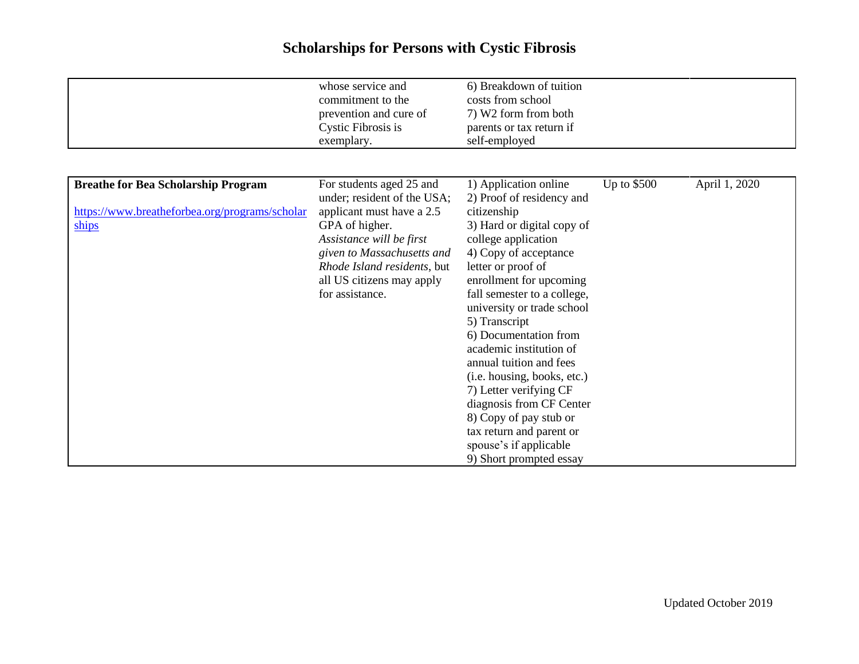|                                                                                                       | whose service and<br>commitment to the<br>prevention and cure of<br>Cystic Fibrosis is<br>exemplary.                                                                                                                                            | 6) Breakdown of tuition<br>costs from school<br>7) W2 form from both<br>parents or tax return if<br>self-employed                                                                                                                                                                                                                                                                                                                                                                                                                                             |             |               |
|-------------------------------------------------------------------------------------------------------|-------------------------------------------------------------------------------------------------------------------------------------------------------------------------------------------------------------------------------------------------|---------------------------------------------------------------------------------------------------------------------------------------------------------------------------------------------------------------------------------------------------------------------------------------------------------------------------------------------------------------------------------------------------------------------------------------------------------------------------------------------------------------------------------------------------------------|-------------|---------------|
| <b>Breathe for Bea Scholarship Program</b><br>https://www.breatheforbea.org/programs/scholar<br>ships | For students aged 25 and<br>under; resident of the USA;<br>applicant must have a 2.5<br>GPA of higher.<br>Assistance will be first<br>given to Massachusetts and<br>Rhode Island residents, but<br>all US citizens may apply<br>for assistance. | 1) Application online<br>2) Proof of residency and<br>citizenship<br>3) Hard or digital copy of<br>college application<br>4) Copy of acceptance<br>letter or proof of<br>enrollment for upcoming<br>fall semester to a college,<br>university or trade school<br>5) Transcript<br>6) Documentation from<br>academic institution of<br>annual tuition and fees<br>(i.e. housing, books, etc.)<br>7) Letter verifying CF<br>diagnosis from CF Center<br>8) Copy of pay stub or<br>tax return and parent or<br>spouse's if applicable<br>9) Short prompted essay | Up to \$500 | April 1, 2020 |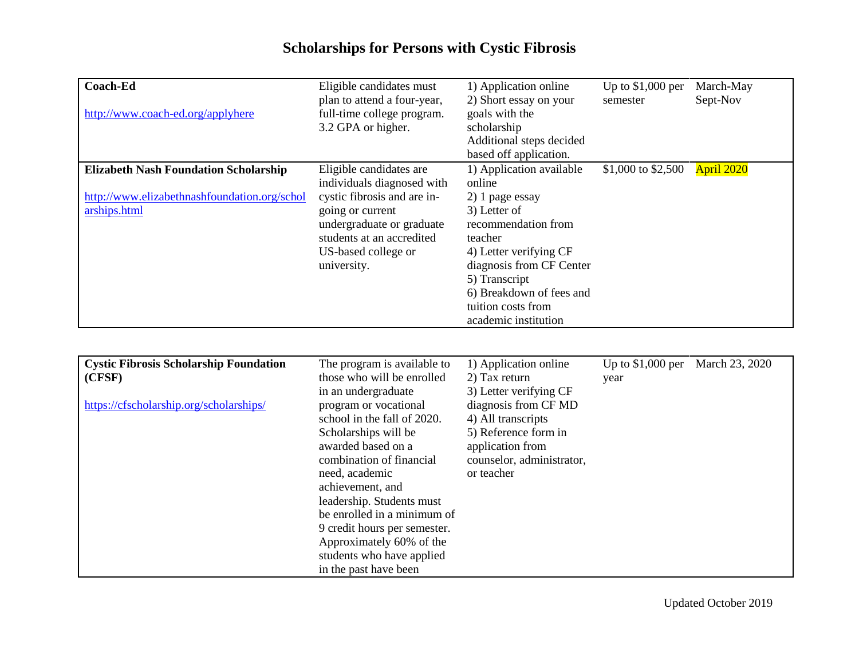| Coach-Ed<br>http://www.coach-ed.org/applyhere                                                                | Eligible candidates must<br>plan to attend a four-year,<br>full-time college program.<br>3.2 GPA or higher.                                                                                              | 1) Application online<br>2) Short essay on your<br>goals with the<br>scholarship<br>Additional steps decided<br>based off application.                                                                                                                   | Up to $$1,000$ per<br>semester | March-May<br>Sept-Nov |
|--------------------------------------------------------------------------------------------------------------|----------------------------------------------------------------------------------------------------------------------------------------------------------------------------------------------------------|----------------------------------------------------------------------------------------------------------------------------------------------------------------------------------------------------------------------------------------------------------|--------------------------------|-----------------------|
| <b>Elizabeth Nash Foundation Scholarship</b><br>http://www.elizabethnashfoundation.org/schol<br>arships.html | Eligible candidates are<br>individuals diagnosed with<br>cystic fibrosis and are in-<br>going or current<br>undergraduate or graduate<br>students at an accredited<br>US-based college or<br>university. | 1) Application available<br>online<br>2) 1 page essay<br>3) Letter of<br>recommendation from<br>teacher<br>4) Letter verifying CF<br>diagnosis from CF Center<br>5) Transcript<br>6) Breakdown of fees and<br>tuition costs from<br>academic institution | \$1,000 to \$2,500             | April 2020            |

| <b>Cystic Fibrosis Scholarship Foundation</b> | The program is available to  | 1) Application online     | Up to $$1,000$ per | March 23, 2020 |
|-----------------------------------------------|------------------------------|---------------------------|--------------------|----------------|
|                                               |                              |                           |                    |                |
| (CFSF)                                        | those who will be enrolled   | 2) Tax return             | year               |                |
|                                               | in an undergraduate          | 3) Letter verifying CF    |                    |                |
| https://cfscholarship.org/scholarships/       | program or vocational        | diagnosis from CF MD      |                    |                |
|                                               | school in the fall of 2020.  | 4) All transcripts        |                    |                |
|                                               | Scholarships will be         | 5) Reference form in      |                    |                |
|                                               | awarded based on a           | application from          |                    |                |
|                                               | combination of financial     | counselor, administrator, |                    |                |
|                                               | need, academic               | or teacher                |                    |                |
|                                               | achievement, and             |                           |                    |                |
|                                               | leadership. Students must    |                           |                    |                |
|                                               | be enrolled in a minimum of  |                           |                    |                |
|                                               | 9 credit hours per semester. |                           |                    |                |
|                                               | Approximately 60% of the     |                           |                    |                |
|                                               | students who have applied    |                           |                    |                |
|                                               | in the past have been        |                           |                    |                |